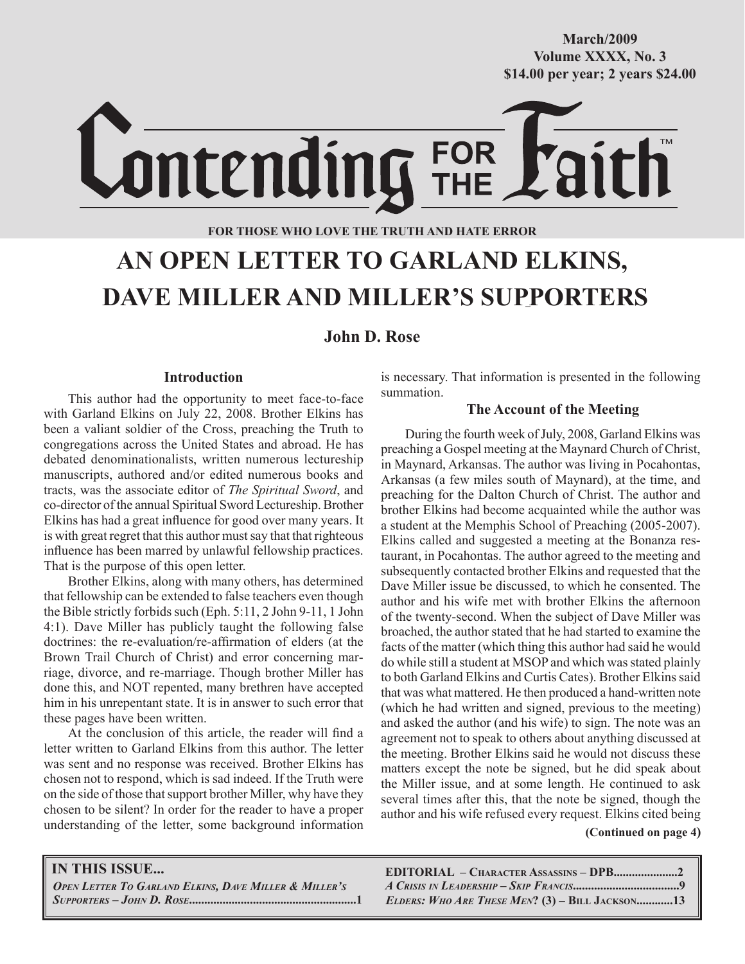**October/2007 Volume XXXX, No. 3 Volume XXXVIII, No. 10 \$14.00 per year; 2 years \$24.00 \$14.00 per year; 2 years \$24.00 March/2009**

Lontending FOR

# **FOR THOSE WHO LOVE THE TRUTH AND HATE ERROR**

# **AN OPEN LETTER TO GARLAND ELKINS, DAVE MILLER AND MILLER'S SUPPORTERS**

# **John D. Rose**

## **Introduction**

This author had the opportunity to meet face-to-face with Garland Elkins on July 22, 2008. Brother Elkins has been a valiant soldier of the Cross, preaching the Truth to congregations across the United States and abroad. He has debated denominationalists, written numerous lectureship manuscripts, authored and/or edited numerous books and tracts, was the associate editor of *The Spiritual Sword*, and co-director of the annual Spiritual Sword Lectureship. Brother Elkins has had a great influence for good over many years. It is with great regret that this author must say that that righteous influence has been marred by unlawful fellowship practices. That is the purpose of this open letter.

Brother Elkins, along with many others, has determined that fellowship can be extended to false teachers even though the Bible strictly forbids such (Eph. 5:11, 2 John 9-11, 1 John 4:1). Dave Miller has publicly taught the following false doctrines: the re-evaluation/re-affirmation of elders (at the Brown Trail Church of Christ) and error concerning marriage, divorce, and re-marriage. Though brother Miller has done this, and NOT repented, many brethren have accepted him in his unrepentant state. It is in answer to such error that these pages have been written.

At the conclusion of this article, the reader will find a letter written to Garland Elkins from this author. The letter was sent and no response was received. Brother Elkins has chosen not to respond, which is sad indeed. If the Truth were on the side of those that support brother Miller, why have they chosen to be silent? In order for the reader to have a proper understanding of the letter, some background information is necessary. That information is presented in the following summation.

## **The Account of the Meeting**

During the fourth week of July, 2008, Garland Elkins was preaching a Gospel meeting at the Maynard Church of Christ, in Maynard, Arkansas. The author was living in Pocahontas, Arkansas (a few miles south of Maynard), at the time, and preaching for the Dalton Church of Christ. The author and brother Elkins had become acquainted while the author was a student at the Memphis School of Preaching (2005-2007). Elkins called and suggested a meeting at the Bonanza restaurant, in Pocahontas. The author agreed to the meeting and subsequently contacted brother Elkins and requested that the Dave Miller issue be discussed, to which he consented. The author and his wife met with brother Elkins the afternoon of the twenty-second. When the subject of Dave Miller was broached, the author stated that he had started to examine the facts of the matter (which thing this author had said he would do while still a student at MSOP and which was stated plainly to both Garland Elkins and Curtis Cates). Brother Elkins said that was what mattered. He then produced a hand-written note (which he had written and signed, previous to the meeting) and asked the author (and his wife) to sign. The note was an agreement not to speak to others about anything discussed at the meeting. Brother Elkins said he would not discuss these matters except the note be signed, but he did speak about the Miller issue, and at some length. He continued to ask several times after this, that the note be signed, though the author and his wife refused every request. Elkins cited being

 **(Continued on page 4)**

### **IN THIS ISSUE...**

*OPEN LETTER TO GARLAND ELKINS, DAVE MILLER & MILLER'S SUPPORTERS – JOHN D. ROSE***.......................................................1**  **EDITORIAL – CHARACTER ASSASSINS – DPB.....................2** *A CRISIS IN LEADERSHIP – SKIP FRANCIS***...................................9**  *ELDERS: WHO ARE THESE MEN***? (3) – BILL JACKSON............13**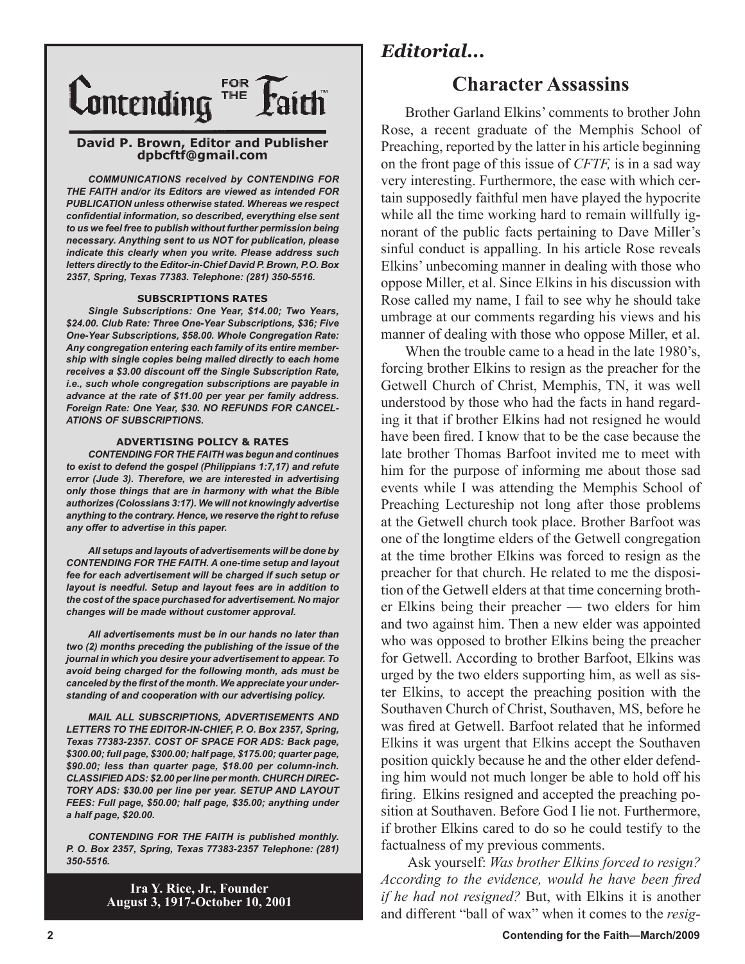

#### **David P. Brown, Editor and Publisher dpbcftf@gmail.com**

*COMMUNICATIONS received by CONTENDING FOR THE FAITH and/or its Editors are viewed as intended FOR PUBLICATION unless otherwise stated. Whereas we respect confidential information, so described, everything else sent to us we feel free to publish without further permission being necessary. Anything sent to us NOT for publication, please indicate this clearly when you write. Please address such letters directly to the Editor-in-Chief David P. Brown, P.O. Box 2357, Spring, Texas 77383. Telephone: (281) 350-5516.*

#### **SUBSCRIPTIONS RATES**

*Single Subscriptions: One Year, \$14.00; Two Years, \$24.00. Club Rate: Three One-Year Subscriptions, \$36; Five One-Year Subscriptions, \$58.00. Whole Congregation Rate: Any congregation entering each family of its entire membership with single copies being mailed directly to each home receives a \$3.00 discount off the Single Subscription Rate, i.e., such whole congregation subscriptions are payable in advance at the rate of \$11.00 per year per family address. Foreign Rate: One Year, \$30. NO REFUNDS FOR CANCEL-ATIONS OF SUBSCRIPTIONS.*

#### **ADVERTISING POLICY & RATES**

*CONTENDING FOR THE FAITH was begun and continues to exist to defend the gospel (Philippians 1:7,17) and refute error (Jude 3). Therefore, we are interested in advertising only those things that are in harmony with what the Bible authorizes (Colossians 3:17). We will not knowingly advertise anything to the contrary. Hence, we reserve the right to refuse any offer to advertise in this paper.*

*All setups and layouts of advertisements will be done by CONTENDING FOR THE FAITH. A one-time setup and layout fee for each advertisement will be charged if such setup or layout is needful. Setup and layout fees are in addition to the cost of the space purchased for advertisement. No major changes will be made without customer approval.*

*All advertisements must be in our hands no later than two (2) months preceding the publishing of the issue of the journal in which you desire your advertisement to appear. To avoid being charged for the following month, ads must be canceled by the first of the month. We appreciate your understanding of and cooperation with our advertising policy.*

*MAIL ALL SUBSCRIPTIONS, ADVERTISEMENTS AND LETTERS TO THE EDITOR-IN-CHIEF, P. O. Box 2357, Spring, Texas 77383-2357. COST OF SPACE FOR ADS: Back page, \$300.00; full page, \$300.00; half page, \$175.00; quarter page, \$90.00; less than quarter page, \$18.00 per column-inch. CLASSIFIED ADS: \$2.00 per line per month. CHURCH DIREC-TORY ADS: \$30.00 per line per year. SETUP AND LAYOUT FEES: Full page, \$50.00; half page, \$35.00; anything under a half page, \$20.00.*

*CONTENDING FOR THE FAITH is published monthly. P. O. Box 2357, Spring, Texas 77383-2357 Telephone: (281) 350-5516.*

> **Ira Y. Rice, Jr., Founder August 3, 1917-October 10, 2001**

# *Editorial...*

# **Character Assassins**

Brother Garland Elkins' comments to brother John Rose, a recent graduate of the Memphis School of Preaching, reported by the latter in his article beginning on the front page of this issue of *CFTF,* is in a sad way very interesting. Furthermore, the ease with which certain supposedly faithful men have played the hypocrite while all the time working hard to remain willfully ignorant of the public facts pertaining to Dave Miller's sinful conduct is appalling. In his article Rose reveals Elkins' unbecoming manner in dealing with those who oppose Miller, et al. Since Elkins in his discussion with Rose called my name, I fail to see why he should take umbrage at our comments regarding his views and his manner of dealing with those who oppose Miller, et al.

When the trouble came to a head in the late 1980's, forcing brother Elkins to resign as the preacher for the Getwell Church of Christ, Memphis, TN, it was well understood by those who had the facts in hand regarding it that if brother Elkins had not resigned he would have been fired. I know that to be the case because the late brother Thomas Barfoot invited me to meet with him for the purpose of informing me about those sad events while I was attending the Memphis School of Preaching Lectureship not long after those problems at the Getwell church took place. Brother Barfoot was one of the longtime elders of the Getwell congregation at the time brother Elkins was forced to resign as the preacher for that church. He related to me the disposition of the Getwell elders at that time concerning brother Elkins being their preacher — two elders for him and two against him. Then a new elder was appointed who was opposed to brother Elkins being the preacher for Getwell. According to brother Barfoot, Elkins was urged by the two elders supporting him, as well as sister Elkins, to accept the preaching position with the Southaven Church of Christ, Southaven, MS, before he was fired at Getwell. Barfoot related that he informed Elkins it was urgent that Elkins accept the Southaven position quickly because he and the other elder defending him would not much longer be able to hold off his firing. Elkins resigned and accepted the preaching position at Southaven. Before God I lie not. Furthermore, if brother Elkins cared to do so he could testify to the factualness of my previous comments.

 Ask yourself: *Was brother Elkins forced to resign? According to the evidence, would he have been fired if he had not resigned?* But, with Elkins it is another and different "ball of wax" when it comes to the *resig-*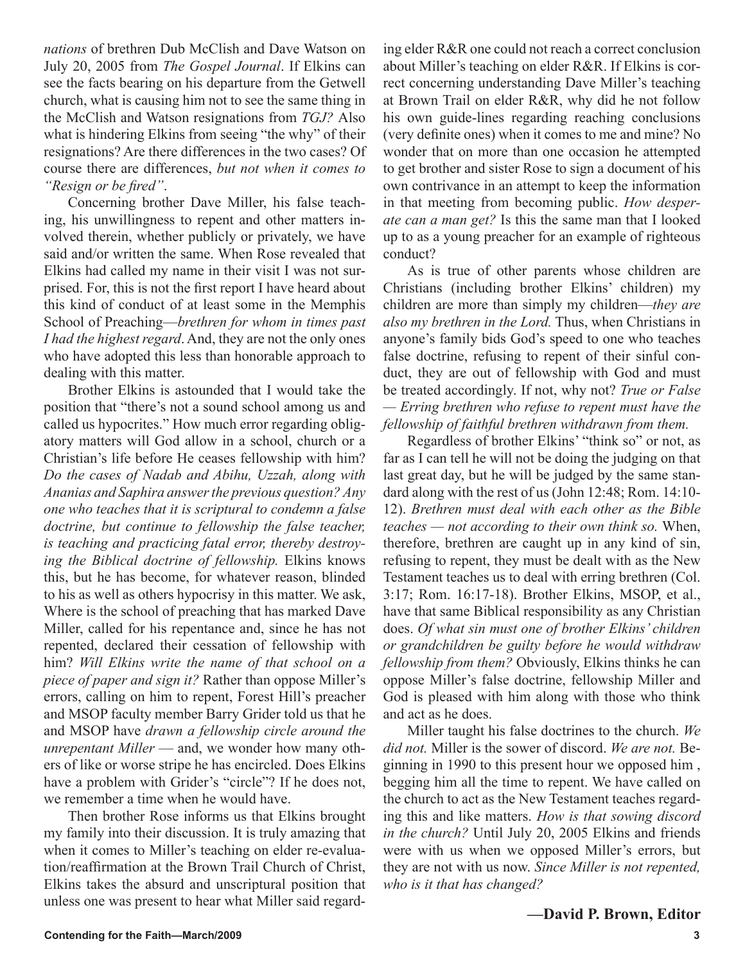*nations* of brethren Dub McClish and Dave Watson on July 20, 2005 from *The Gospel Journal*. If Elkins can see the facts bearing on his departure from the Getwell church, what is causing him not to see the same thing in the McClish and Watson resignations from *TGJ?* Also what is hindering Elkins from seeing "the why" of their resignations? Are there differences in the two cases? Of course there are differences, *but not when it comes to "Resign or be fired"*.

Concerning brother Dave Miller, his false teaching, his unwillingness to repent and other matters involved therein, whether publicly or privately, we have said and/or written the same. When Rose revealed that Elkins had called my name in their visit I was not surprised. For, this is not the first report I have heard about this kind of conduct of at least some in the Memphis School of Preaching—*brethren for whom in times past I had the highest regard*. And, they are not the only ones who have adopted this less than honorable approach to dealing with this matter.

Brother Elkins is astounded that I would take the position that "there's not a sound school among us and called us hypocrites." How much error regarding obligatory matters will God allow in a school, church or a Christian's life before He ceases fellowship with him? *Do the cases of Nadab and Abihu, Uzzah, along with Ananias and Saphira answer the previous question? Any one who teaches that it is scriptural to condemn a false doctrine, but continue to fellowship the false teacher, is teaching and practicing fatal error, thereby destroying the Biblical doctrine of fellowship.* Elkins knows this, but he has become, for whatever reason, blinded to his as well as others hypocrisy in this matter. We ask, Where is the school of preaching that has marked Dave Miller, called for his repentance and, since he has not repented, declared their cessation of fellowship with him? *Will Elkins write the name of that school on a piece of paper and sign it?* Rather than oppose Miller's errors, calling on him to repent, Forest Hill's preacher and MSOP faculty member Barry Grider told us that he and MSOP have *drawn a fellowship circle around the unrepentant Miller* — and, we wonder how many others of like or worse stripe he has encircled. Does Elkins have a problem with Grider's "circle"? If he does not, we remember a time when he would have.

Then brother Rose informs us that Elkins brought my family into their discussion. It is truly amazing that when it comes to Miller's teaching on elder re-evaluation/reaffirmation at the Brown Trail Church of Christ, Elkins takes the absurd and unscriptural position that unless one was present to hear what Miller said regarding elder R&R one could not reach a correct conclusion about Miller's teaching on elder R&R. If Elkins is correct concerning understanding Dave Miller's teaching at Brown Trail on elder R&R, why did he not follow his own guide-lines regarding reaching conclusions (very definite ones) when it comes to me and mine? No wonder that on more than one occasion he attempted to get brother and sister Rose to sign a document of his own contrivance in an attempt to keep the information in that meeting from becoming public. *How desperate can a man get?* Is this the same man that I looked up to as a young preacher for an example of righteous conduct?

As is true of other parents whose children are Christians (including brother Elkins' children) my children are more than simply my children—*they are also my brethren in the Lord.* Thus, when Christians in anyone's family bids God's speed to one who teaches false doctrine, refusing to repent of their sinful conduct, they are out of fellowship with God and must be treated accordingly. If not, why not? *True or False — Erring brethren who refuse to repent must have the fellowship of faithful brethren withdrawn from them.*

Regardless of brother Elkins' "think so" or not, as far as I can tell he will not be doing the judging on that last great day, but he will be judged by the same standard along with the rest of us (John 12:48; Rom. 14:10- 12). *Brethren must deal with each other as the Bible teaches — not according to their own think so.* When, therefore, brethren are caught up in any kind of sin, refusing to repent, they must be dealt with as the New Testament teaches us to deal with erring brethren (Col. 3:17; Rom. 16:17-18). Brother Elkins, MSOP, et al., have that same Biblical responsibility as any Christian does. *Of what sin must one of brother Elkins' children or grandchildren be guilty before he would withdraw fellowship from them?* Obviously, Elkins thinks he can oppose Miller's false doctrine, fellowship Miller and God is pleased with him along with those who think and act as he does.

Miller taught his false doctrines to the church. *We did not.* Miller is the sower of discord. *We are not.* Beginning in 1990 to this present hour we opposed him , begging him all the time to repent. We have called on the church to act as the New Testament teaches regarding this and like matters. *How is that sowing discord in the church?* Until July 20, 2005 Elkins and friends were with us when we opposed Miller's errors, but they are not with us now. *Since Miller is not repented, who is it that has changed?*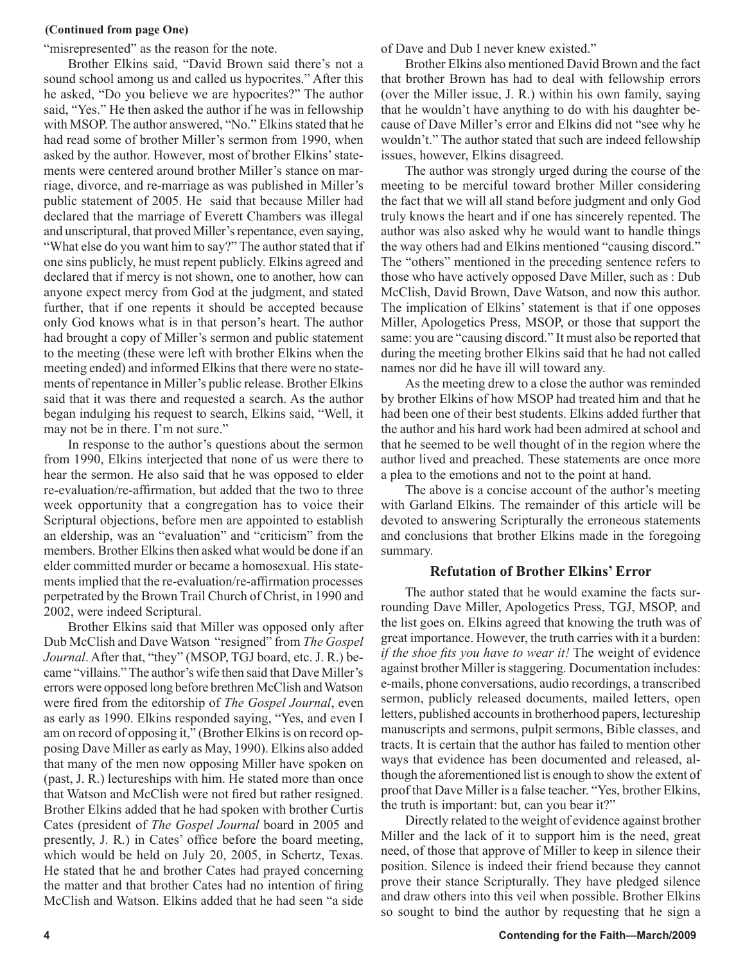#### **(Continued from page One)**

"misrepresented" as the reason for the note.

Brother Elkins said, "David Brown said there's not a sound school among us and called us hypocrites." After this he asked, "Do you believe we are hypocrites?" The author said, "Yes." He then asked the author if he was in fellowship with MSOP. The author answered, "No." Elkins stated that he had read some of brother Miller's sermon from 1990, when asked by the author. However, most of brother Elkins' statements were centered around brother Miller's stance on marriage, divorce, and re-marriage as was published in Miller's public statement of 2005. He said that because Miller had declared that the marriage of Everett Chambers was illegal and unscriptural, that proved Miller's repentance, even saying, "What else do you want him to say?" The author stated that if one sins publicly, he must repent publicly. Elkins agreed and declared that if mercy is not shown, one to another, how can anyone expect mercy from God at the judgment, and stated further, that if one repents it should be accepted because only God knows what is in that person's heart. The author had brought a copy of Miller's sermon and public statement to the meeting (these were left with brother Elkins when the meeting ended) and informed Elkins that there were no statements of repentance in Miller's public release. Brother Elkins said that it was there and requested a search. As the author began indulging his request to search, Elkins said, "Well, it may not be in there. I'm not sure."

In response to the author's questions about the sermon from 1990, Elkins interjected that none of us were there to hear the sermon. He also said that he was opposed to elder re-evaluation/re-affirmation, but added that the two to three week opportunity that a congregation has to voice their Scriptural objections, before men are appointed to establish an eldership, was an "evaluation" and "criticism" from the members. Brother Elkins then asked what would be done if an elder committed murder or became a homosexual. His statements implied that the re-evaluation/re-affirmation processes perpetrated by the Brown Trail Church of Christ, in 1990 and 2002, were indeed Scriptural.

Brother Elkins said that Miller was opposed only after Dub McClish and Dave Watson "resigned" from *The Gospel Journal*. After that, "they" (MSOP, TGJ board, etc. J. R.) became "villains." The author's wife then said that Dave Miller's errors were opposed long before brethren McClish and Watson were fired from the editorship of *The Gospel Journal*, even as early as 1990. Elkins responded saying, "Yes, and even I am on record of opposing it," (Brother Elkins is on record opposing Dave Miller as early as May, 1990). Elkins also added that many of the men now opposing Miller have spoken on (past, J. R.) lectureships with him. He stated more than once that Watson and McClish were not fired but rather resigned. Brother Elkins added that he had spoken with brother Curtis Cates (president of *The Gospel Journal* board in 2005 and presently, J. R.) in Cates' office before the board meeting, which would be held on July 20, 2005, in Schertz, Texas. He stated that he and brother Cates had prayed concerning the matter and that brother Cates had no intention of firing McClish and Watson. Elkins added that he had seen "a side

of Dave and Dub I never knew existed."

Brother Elkins also mentioned David Brown and the fact that brother Brown has had to deal with fellowship errors (over the Miller issue, J. R.) within his own family, saying that he wouldn't have anything to do with his daughter because of Dave Miller's error and Elkins did not "see why he wouldn't." The author stated that such are indeed fellowship issues, however, Elkins disagreed.

The author was strongly urged during the course of the meeting to be merciful toward brother Miller considering the fact that we will all stand before judgment and only God truly knows the heart and if one has sincerely repented. The author was also asked why he would want to handle things the way others had and Elkins mentioned "causing discord." The "others" mentioned in the preceding sentence refers to those who have actively opposed Dave Miller, such as : Dub McClish, David Brown, Dave Watson, and now this author. The implication of Elkins' statement is that if one opposes Miller, Apologetics Press, MSOP, or those that support the same: you are "causing discord." It must also be reported that during the meeting brother Elkins said that he had not called names nor did he have ill will toward any.

As the meeting drew to a close the author was reminded by brother Elkins of how MSOP had treated him and that he had been one of their best students. Elkins added further that the author and his hard work had been admired at school and that he seemed to be well thought of in the region where the author lived and preached. These statements are once more a plea to the emotions and not to the point at hand.

The above is a concise account of the author's meeting with Garland Elkins. The remainder of this article will be devoted to answering Scripturally the erroneous statements and conclusions that brother Elkins made in the foregoing summary.

### **Refutation of Brother Elkins' Error**

The author stated that he would examine the facts surrounding Dave Miller, Apologetics Press, TGJ, MSOP, and the list goes on. Elkins agreed that knowing the truth was of great importance. However, the truth carries with it a burden: *if the shoe fits you have to wear it!* The weight of evidence against brother Miller is staggering. Documentation includes: e-mails, phone conversations, audio recordings, a transcribed sermon, publicly released documents, mailed letters, open letters, published accounts in brotherhood papers, lectureship manuscripts and sermons, pulpit sermons, Bible classes, and tracts. It is certain that the author has failed to mention other ways that evidence has been documented and released, although the aforementioned list is enough to show the extent of proof that Dave Miller is a false teacher. "Yes, brother Elkins, the truth is important: but, can you bear it?"

Directly related to the weight of evidence against brother Miller and the lack of it to support him is the need, great need, of those that approve of Miller to keep in silence their position. Silence is indeed their friend because they cannot prove their stance Scripturally. They have pledged silence and draw others into this veil when possible. Brother Elkins so sought to bind the author by requesting that he sign a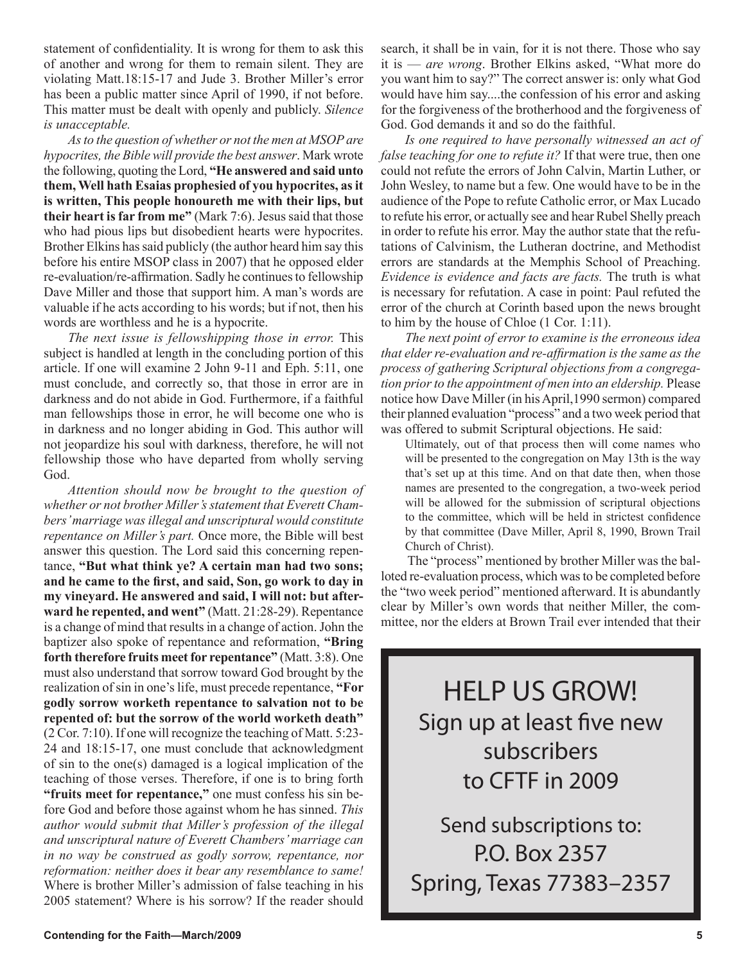statement of confidentiality. It is wrong for them to ask this of another and wrong for them to remain silent. They are violating Matt.18:15-17 and Jude 3. Brother Miller's error has been a public matter since April of 1990, if not before. This matter must be dealt with openly and publicly. *Silence is unacceptable.*

*As to the question of whether or not the men at MSOP are hypocrites, the Bible will provide the best answer*. Mark wrote the following, quoting the Lord, **"He answered and said unto them, Well hath Esaias prophesied of you hypocrites, as it is written, This people honoureth me with their lips, but their heart is far from me"** (Mark 7:6). Jesus said that those who had pious lips but disobedient hearts were hypocrites. Brother Elkins has said publicly (the author heard him say this before his entire MSOP class in 2007) that he opposed elder re-evaluation/re-affirmation. Sadly he continues to fellowship Dave Miller and those that support him. A man's words are valuable if he acts according to his words; but if not, then his words are worthless and he is a hypocrite.

*The next issue is fellowshipping those in error.* This subject is handled at length in the concluding portion of this article. If one will examine 2 John 9-11 and Eph. 5:11, one must conclude, and correctly so, that those in error are in darkness and do not abide in God. Furthermore, if a faithful man fellowships those in error, he will become one who is in darkness and no longer abiding in God. This author will not jeopardize his soul with darkness, therefore, he will not fellowship those who have departed from wholly serving God.

*Attention should now be brought to the question of whether or not brother Miller's statement that Everett Chambers' marriage was illegal and unscriptural would constitute repentance on Miller's part.* Once more, the Bible will best answer this question. The Lord said this concerning repentance, **"But what think ye? A certain man had two sons; and he came to the first, and said, Son, go work to day in my vineyard. He answered and said, I will not: but afterward he repented, and went"** (Matt. 21:28-29). Repentance is a change of mind that results in a change of action. John the baptizer also spoke of repentance and reformation, **"Bring forth therefore fruits meet for repentance"** (Matt. 3:8). One must also understand that sorrow toward God brought by the realization of sin in one's life, must precede repentance, **"For godly sorrow worketh repentance to salvation not to be repented of: but the sorrow of the world worketh death"** (2 Cor. 7:10). If one will recognize the teaching of Matt. 5:23- 24 and 18:15-17, one must conclude that acknowledgment of sin to the one(s) damaged is a logical implication of the teaching of those verses. Therefore, if one is to bring forth **"fruits meet for repentance,"** one must confess his sin before God and before those against whom he has sinned. *This author would submit that Miller's profession of the illegal and unscriptural nature of Everett Chambers' marriage can in no way be construed as godly sorrow, repentance, nor reformation: neither does it bear any resemblance to same!* Where is brother Miller's admission of false teaching in his 2005 statement? Where is his sorrow? If the reader should

search, it shall be in vain, for it is not there. Those who say it is — *are wrong*. Brother Elkins asked, "What more do you want him to say?" The correct answer is: only what God would have him say....the confession of his error and asking for the forgiveness of the brotherhood and the forgiveness of God. God demands it and so do the faithful.

*Is one required to have personally witnessed an act of false teaching for one to refute it?* If that were true, then one could not refute the errors of John Calvin, Martin Luther, or John Wesley, to name but a few. One would have to be in the audience of the Pope to refute Catholic error, or Max Lucado to refute his error, or actually see and hear Rubel Shelly preach in order to refute his error. May the author state that the refutations of Calvinism, the Lutheran doctrine, and Methodist errors are standards at the Memphis School of Preaching. *Evidence is evidence and facts are facts.* The truth is what is necessary for refutation. A case in point: Paul refuted the error of the church at Corinth based upon the news brought to him by the house of Chloe (1 Cor. 1:11).

*The next point of error to examine is the erroneous idea that elder re-evaluation and re-affirmation is the same as the process of gathering Scriptural objections from a congregation prior to the appointment of men into an eldership.* Please notice how Dave Miller (in his April,1990 sermon) compared their planned evaluation "process" and a two week period that was offered to submit Scriptural objections. He said:

Ultimately, out of that process then will come names who will be presented to the congregation on May 13th is the way that's set up at this time. And on that date then, when those names are presented to the congregation, a two-week period will be allowed for the submission of scriptural objections to the committee, which will be held in strictest confidence by that committee (Dave Miller, April 8, 1990, Brown Trail Church of Christ).

 The "process" mentioned by brother Miller was the balloted re-evaluation process, which was to be completed before the "two week period" mentioned afterward. It is abundantly clear by Miller's own words that neither Miller, the committee, nor the elders at Brown Trail ever intended that their

HELP US GROW! Sign up at least five new subscribers to CFTF in 2009

Send subscriptions to: P.O. Box 2357 Spring, Texas 77383–2357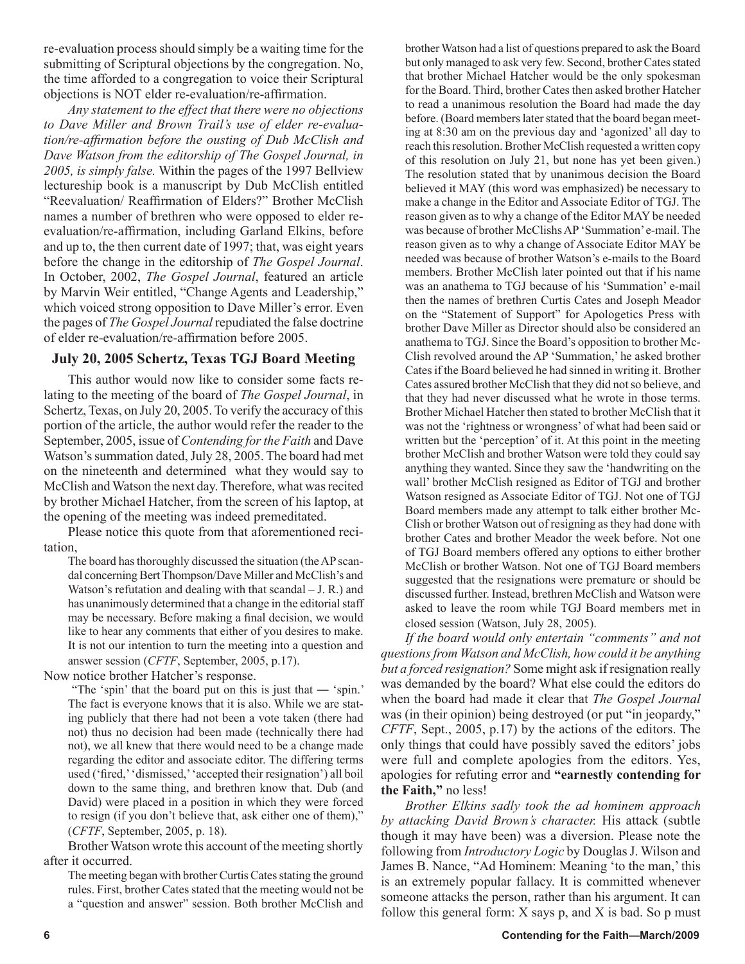re-evaluation process should simply be a waiting time for the submitting of Scriptural objections by the congregation. No, the time afforded to a congregation to voice their Scriptural objections is NOT elder re-evaluation/re-affirmation.

*Any statement to the effect that there were no objections to Dave Miller and Brown Trail's use of elder re-evaluation/re-affirmation before the ousting of Dub McClish and Dave Watson from the editorship of The Gospel Journal, in 2005, is simply false.* Within the pages of the 1997 Bellview lectureship book is a manuscript by Dub McClish entitled "Reevaluation/ Reaffirmation of Elders?" Brother McClish names a number of brethren who were opposed to elder reevaluation/re-affirmation, including Garland Elkins, before and up to, the then current date of 1997; that, was eight years before the change in the editorship of *The Gospel Journal*. In October, 2002, *The Gospel Journal*, featured an article by Marvin Weir entitled, "Change Agents and Leadership," which voiced strong opposition to Dave Miller's error. Even the pages of *The Gospel Journal* repudiated the false doctrine of elder re-evaluation/re-affirmation before 2005.

# **July 20, 2005 Schertz, Texas TGJ Board Meeting**

This author would now like to consider some facts relating to the meeting of the board of *The Gospel Journal*, in Schertz, Texas, on July 20, 2005. To verify the accuracy of this portion of the article, the author would refer the reader to the September, 2005, issue of *Contending for the Faith* and Dave Watson's summation dated, July 28, 2005. The board had met on the nineteenth and determined what they would say to McClish and Watson the next day. Therefore, what was recited by brother Michael Hatcher, from the screen of his laptop, at the opening of the meeting was indeed premeditated.

Please notice this quote from that aforementioned recitation,

The board has thoroughly discussed the situation (the AP scandal concerning Bert Thompson/Dave Miller and McClish's and Watson's refutation and dealing with that scandal – J. R.) and has unanimously determined that a change in the editorial staff may be necessary. Before making a final decision, we would like to hear any comments that either of you desires to make. It is not our intention to turn the meeting into a question and answer session (*CFTF*, September, 2005, p.17).

Now notice brother Hatcher's response.

 "The 'spin' that the board put on this is just that ― 'spin.' The fact is everyone knows that it is also. While we are stating publicly that there had not been a vote taken (there had not) thus no decision had been made (technically there had not), we all knew that there would need to be a change made regarding the editor and associate editor. The differing terms used ('fired,' 'dismissed,' 'accepted their resignation') all boil down to the same thing, and brethren know that. Dub (and David) were placed in a position in which they were forced to resign (if you don't believe that, ask either one of them)," (*CFTF*, September, 2005, p. 18).

Brother Watson wrote this account of the meeting shortly after it occurred.

The meeting began with brother Curtis Cates stating the ground rules. First, brother Cates stated that the meeting would not be a "question and answer" session. Both brother McClish and brother Watson had a list of questions prepared to ask the Board but only managed to ask very few. Second, brother Cates stated that brother Michael Hatcher would be the only spokesman for the Board. Third, brother Cates then asked brother Hatcher to read a unanimous resolution the Board had made the day before. (Board members later stated that the board began meeting at 8:30 am on the previous day and 'agonized' all day to reach this resolution. Brother McClish requested a written copy of this resolution on July 21, but none has yet been given.) The resolution stated that by unanimous decision the Board believed it MAY (this word was emphasized) be necessary to make a change in the Editor and Associate Editor of TGJ. The reason given as to why a change of the Editor MAY be needed was because of brother McClishs AP 'Summation' e-mail. The reason given as to why a change of Associate Editor MAY be needed was because of brother Watson's e-mails to the Board members. Brother McClish later pointed out that if his name was an anathema to TGJ because of his 'Summation' e-mail then the names of brethren Curtis Cates and Joseph Meador on the "Statement of Support" for Apologetics Press with brother Dave Miller as Director should also be considered an anathema to TGJ. Since the Board's opposition to brother Mc-Clish revolved around the AP 'Summation,' he asked brother Cates if the Board believed he had sinned in writing it. Brother Cates assured brother McClish that they did not so believe, and that they had never discussed what he wrote in those terms. Brother Michael Hatcher then stated to brother McClish that it was not the 'rightness or wrongness' of what had been said or written but the 'perception' of it. At this point in the meeting brother McClish and brother Watson were told they could say anything they wanted. Since they saw the 'handwriting on the wall' brother McClish resigned as Editor of TGJ and brother Watson resigned as Associate Editor of TGJ. Not one of TGJ Board members made any attempt to talk either brother Mc-Clish or brother Watson out of resigning as they had done with brother Cates and brother Meador the week before. Not one of TGJ Board members offered any options to either brother McClish or brother Watson. Not one of TGJ Board members suggested that the resignations were premature or should be discussed further. Instead, brethren McClish and Watson were asked to leave the room while TGJ Board members met in closed session (Watson, July 28, 2005).

*If the board would only entertain "comments" and not questions from Watson and McClish, how could it be anything but a forced resignation?* Some might ask if resignation really was demanded by the board? What else could the editors do when the board had made it clear that *The Gospel Journal* was (in their opinion) being destroyed (or put "in jeopardy," *CFTF*, Sept., 2005, p.17) by the actions of the editors. The only things that could have possibly saved the editors' jobs were full and complete apologies from the editors. Yes, apologies for refuting error and **"earnestly contending for the Faith,"** no less!

*Brother Elkins sadly took the ad hominem approach by attacking David Brown's character.* His attack (subtle though it may have been) was a diversion. Please note the following from *Introductory Logic* by Douglas J. Wilson and James B. Nance, "Ad Hominem: Meaning 'to the man,' this is an extremely popular fallacy. It is committed whenever someone attacks the person, rather than his argument. It can follow this general form: X says p, and X is bad. So p must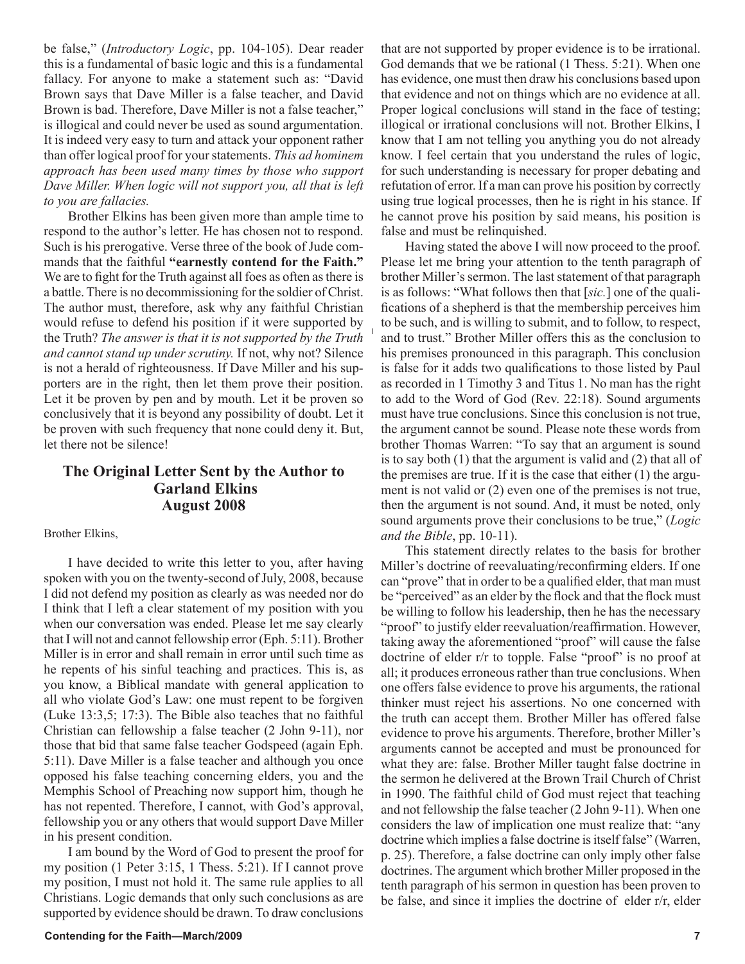be false," (*Introductory Logic*, pp. 104-105). Dear reader this is a fundamental of basic logic and this is a fundamental fallacy. For anyone to make a statement such as: "David Brown says that Dave Miller is a false teacher, and David Brown is bad. Therefore, Dave Miller is not a false teacher," is illogical and could never be used as sound argumentation. It is indeed very easy to turn and attack your opponent rather than offer logical proof for your statements. *This ad hominem approach has been used many times by those who support Dave Miller. When logic will not support you, all that is left to you are fallacies.* 

Brother Elkins has been given more than ample time to respond to the author's letter. He has chosen not to respond. Such is his prerogative. Verse three of the book of Jude commands that the faithful **"earnestly contend for the Faith."** We are to fight for the Truth against all foes as often as there is a battle. There is no decommissioning for the soldier of Christ. The author must, therefore, ask why any faithful Christian would refuse to defend his position if it were supported by the Truth? *The answer is that it is not supported by the Truth and cannot stand up under scrutiny.* If not, why not? Silence is not a herald of righteousness. If Dave Miller and his supporters are in the right, then let them prove their position. Let it be proven by pen and by mouth. Let it be proven so conclusively that it is beyond any possibility of doubt. Let it be proven with such frequency that none could deny it. But, let there not be silence!

# **The Original Letter Sent by the Author to Garland Elkins August 2008**

#### Brother Elkins,

I have decided to write this letter to you, after having spoken with you on the twenty-second of July, 2008, because I did not defend my position as clearly as was needed nor do I think that I left a clear statement of my position with you when our conversation was ended. Please let me say clearly that I will not and cannot fellowship error (Eph. 5:11). Brother Miller is in error and shall remain in error until such time as he repents of his sinful teaching and practices. This is, as you know, a Biblical mandate with general application to all who violate God's Law: one must repent to be forgiven (Luke 13:3,5; 17:3). The Bible also teaches that no faithful Christian can fellowship a false teacher (2 John 9-11), nor those that bid that same false teacher Godspeed (again Eph. 5:11). Dave Miller is a false teacher and although you once opposed his false teaching concerning elders, you and the Memphis School of Preaching now support him, though he has not repented. Therefore, I cannot, with God's approval, fellowship you or any others that would support Dave Miller in his present condition.

I am bound by the Word of God to present the proof for my position (1 Peter 3:15, 1 Thess. 5:21). If I cannot prove my position, I must not hold it. The same rule applies to all Christians. Logic demands that only such conclusions as are supported by evidence should be drawn. To draw conclusions that are not supported by proper evidence is to be irrational. God demands that we be rational (1 Thess. 5:21). When one has evidence, one must then draw his conclusions based upon that evidence and not on things which are no evidence at all. Proper logical conclusions will stand in the face of testing; illogical or irrational conclusions will not. Brother Elkins, I know that I am not telling you anything you do not already know. I feel certain that you understand the rules of logic, for such understanding is necessary for proper debating and refutation of error. If a man can prove his position by correctly using true logical processes, then he is right in his stance. If he cannot prove his position by said means, his position is false and must be relinquished.

Having stated the above I will now proceed to the proof. Please let me bring your attention to the tenth paragraph of brother Miller's sermon. The last statement of that paragraph is as follows: "What follows then that [*sic.*] one of the qualifications of a shepherd is that the membership perceives him to be such, and is willing to submit, and to follow, to respect, and to trust." Brother Miller offers this as the conclusion to his premises pronounced in this paragraph. This conclusion is false for it adds two qualifications to those listed by Paul as recorded in 1 Timothy 3 and Titus 1. No man has the right to add to the Word of God (Rev. 22:18). Sound arguments must have true conclusions. Since this conclusion is not true, the argument cannot be sound. Please note these words from brother Thomas Warren: "To say that an argument is sound is to say both (1) that the argument is valid and (2) that all of the premises are true. If it is the case that either (1) the argument is not valid or (2) even one of the premises is not true, then the argument is not sound. And, it must be noted, only sound arguments prove their conclusions to be true," (*Logic and the Bible*, pp. 10-11).

This statement directly relates to the basis for brother Miller's doctrine of reevaluating/reconfirming elders. If one can "prove" that in order to be a qualified elder, that man must be "perceived" as an elder by the flock and that the flock must be willing to follow his leadership, then he has the necessary "proof" to justify elder reevaluation/reaffirmation. However, taking away the aforementioned "proof" will cause the false doctrine of elder r/r to topple. False "proof" is no proof at all; it produces erroneous rather than true conclusions. When one offers false evidence to prove his arguments, the rational thinker must reject his assertions. No one concerned with the truth can accept them. Brother Miller has offered false evidence to prove his arguments. Therefore, brother Miller's arguments cannot be accepted and must be pronounced for what they are: false. Brother Miller taught false doctrine in the sermon he delivered at the Brown Trail Church of Christ in 1990. The faithful child of God must reject that teaching and not fellowship the false teacher (2 John 9-11). When one considers the law of implication one must realize that: "any doctrine which implies a false doctrine is itself false" (Warren, p. 25). Therefore, a false doctrine can only imply other false doctrines. The argument which brother Miller proposed in the tenth paragraph of his sermon in question has been proven to be false, and since it implies the doctrine of elder r/r, elder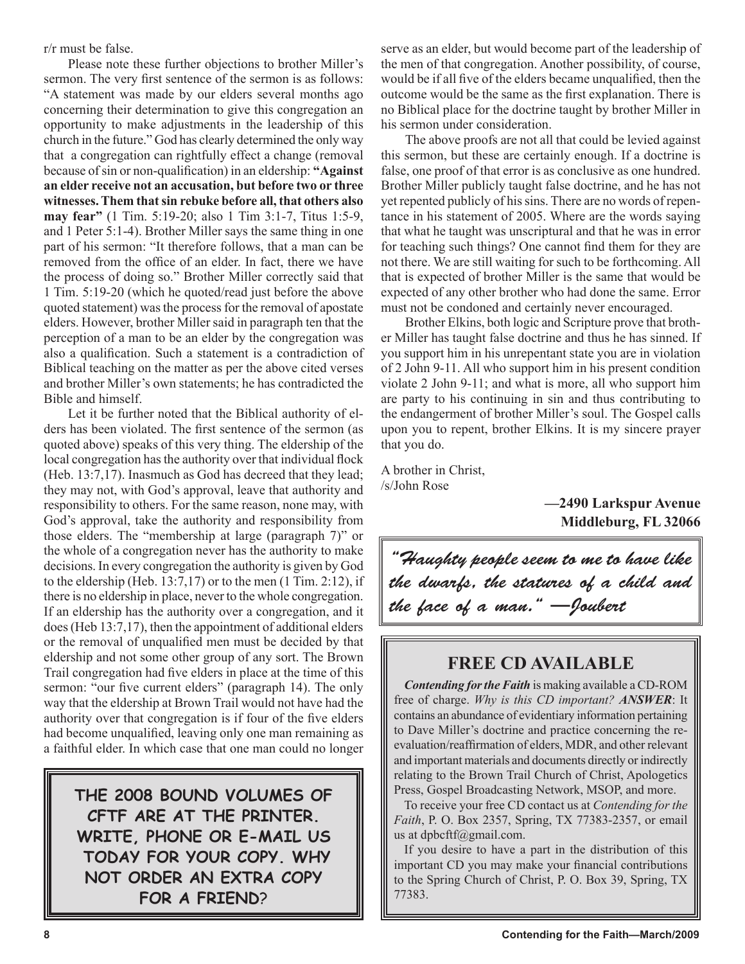r/r must be false.

Please note these further objections to brother Miller's sermon. The very first sentence of the sermon is as follows: "A statement was made by our elders several months ago concerning their determination to give this congregation an opportunity to make adjustments in the leadership of this church in the future." God has clearly determined the only way that a congregation can rightfully effect a change (removal because of sin or non-qualification) in an eldership: **"Against an elder receive not an accusation, but before two or three witnesses. Them that sin rebuke before all, that others also may fear"** (1 Tim. 5:19-20; also 1 Tim 3:1-7, Titus 1:5-9, and 1 Peter 5:1-4). Brother Miller says the same thing in one part of his sermon: "It therefore follows, that a man can be removed from the office of an elder. In fact, there we have the process of doing so." Brother Miller correctly said that 1 Tim. 5:19-20 (which he quoted/read just before the above quoted statement) was the process for the removal of apostate elders. However, brother Miller said in paragraph ten that the perception of a man to be an elder by the congregation was also a qualification. Such a statement is a contradiction of Biblical teaching on the matter as per the above cited verses and brother Miller's own statements; he has contradicted the Bible and himself.

Let it be further noted that the Biblical authority of elders has been violated. The first sentence of the sermon (as quoted above) speaks of this very thing. The eldership of the local congregation has the authority over that individual flock (Heb. 13:7,17). Inasmuch as God has decreed that they lead; they may not, with God's approval, leave that authority and responsibility to others. For the same reason, none may, with God's approval, take the authority and responsibility from those elders. The "membership at large (paragraph 7)" or the whole of a congregation never has the authority to make decisions. In every congregation the authority is given by God to the eldership (Heb.  $13:7,17$ ) or to the men (1 Tim. 2:12), if there is no eldership in place, never to the whole congregation. If an eldership has the authority over a congregation, and it does (Heb 13:7,17), then the appointment of additional elders or the removal of unqualified men must be decided by that eldership and not some other group of any sort. The Brown Trail congregation had five elders in place at the time of this sermon: "our five current elders" (paragraph 14). The only way that the eldership at Brown Trail would not have had the authority over that congregation is if four of the five elders had become unqualified, leaving only one man remaining as a faithful elder. In which case that one man could no longer

**THE 2008 BOUND VOLUMES OF CFTF ARE AT THE PRINTER. WRITE, PHONE OR E-MAIL US TODAY FOR YOUR COPY. WHY NOT ORDER AN EXTRA COPY FOR A FRIEND**?

serve as an elder, but would become part of the leadership of the men of that congregation. Another possibility, of course, would be if all five of the elders became unqualified, then the outcome would be the same as the first explanation. There is no Biblical place for the doctrine taught by brother Miller in his sermon under consideration.

The above proofs are not all that could be levied against this sermon, but these are certainly enough. If a doctrine is false, one proof of that error is as conclusive as one hundred. Brother Miller publicly taught false doctrine, and he has not yet repented publicly of his sins. There are no words of repentance in his statement of 2005. Where are the words saying that what he taught was unscriptural and that he was in error for teaching such things? One cannot find them for they are not there. We are still waiting for such to be forthcoming. All that is expected of brother Miller is the same that would be expected of any other brother who had done the same. Error must not be condoned and certainly never encouraged.

Brother Elkins, both logic and Scripture prove that brother Miller has taught false doctrine and thus he has sinned. If you support him in his unrepentant state you are in violation of 2 John 9-11. All who support him in his present condition violate 2 John 9-11; and what is more, all who support him are party to his continuing in sin and thus contributing to the endangerment of brother Miller's soul. The Gospel calls upon you to repent, brother Elkins. It is my sincere prayer that you do.

A brother in Christ, /s/John Rose

> **—2490 Larkspur Avenue Middleburg, FL 32066**

"Haughty people seem to me to have like the dwarfs, the statures of a child and the face of a man." —Joubert

# **FREE CD AVAILABLE**

*Contending for the Faith* is making available a CD-ROM free of charge. *Why is this CD important? ANSWER*: It contains an abundance of evidentiary information pertaining to Dave Miller's doctrine and practice concerning the reevaluation/reaffirmation of elders, MDR, and other relevant and important materials and documents directly or indirectly relating to the Brown Trail Church of Christ, Apologetics Press, Gospel Broadcasting Network, MSOP, and more.

To receive your free CD contact us at *Contending for the Faith*, P. O. Box 2357, Spring, TX 77383-2357, or email us at dpbcftf@gmail.com.

If you desire to have a part in the distribution of this important CD you may make your financial contributions to the Spring Church of Christ, P. O. Box 39, Spring, TX 77383.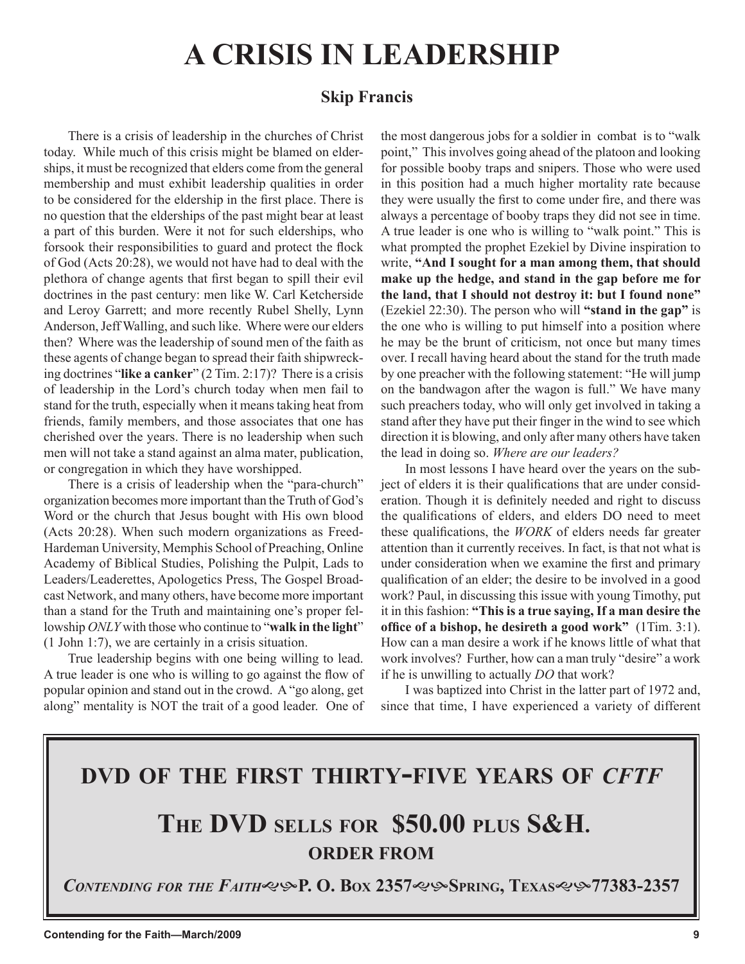# **A CRISIS IN LEADERSHIP**

# **Skip Francis**

There is a crisis of leadership in the churches of Christ today. While much of this crisis might be blamed on elderships, it must be recognized that elders come from the general membership and must exhibit leadership qualities in order to be considered for the eldership in the first place. There is no question that the elderships of the past might bear at least a part of this burden. Were it not for such elderships, who forsook their responsibilities to guard and protect the flock of God (Acts 20:28), we would not have had to deal with the plethora of change agents that first began to spill their evil doctrines in the past century: men like W. Carl Ketcherside and Leroy Garrett; and more recently Rubel Shelly, Lynn Anderson, Jeff Walling, and such like. Where were our elders then? Where was the leadership of sound men of the faith as these agents of change began to spread their faith shipwrecking doctrines "**like a canker**" (2 Tim. 2:17)? There is a crisis of leadership in the Lord's church today when men fail to stand for the truth, especially when it means taking heat from friends, family members, and those associates that one has cherished over the years. There is no leadership when such men will not take a stand against an alma mater, publication, or congregation in which they have worshipped.

There is a crisis of leadership when the "para-church" organization becomes more important than the Truth of God's Word or the church that Jesus bought with His own blood (Acts 20:28). When such modern organizations as Freed-Hardeman University, Memphis School of Preaching, Online Academy of Biblical Studies, Polishing the Pulpit, Lads to Leaders/Leaderettes, Apologetics Press, The Gospel Broadcast Network, and many others, have become more important than a stand for the Truth and maintaining one's proper fellowship *ONLY* with those who continue to "**walk in the light**" (1 John 1:7), we are certainly in a crisis situation.

True leadership begins with one being willing to lead. A true leader is one who is willing to go against the flow of popular opinion and stand out in the crowd. A "go along, get along" mentality is NOT the trait of a good leader. One of the most dangerous jobs for a soldier in combat is to "walk point," This involves going ahead of the platoon and looking for possible booby traps and snipers. Those who were used in this position had a much higher mortality rate because they were usually the first to come under fire, and there was always a percentage of booby traps they did not see in time. A true leader is one who is willing to "walk point." This is what prompted the prophet Ezekiel by Divine inspiration to write, **"And I sought for a man among them, that should make up the hedge, and stand in the gap before me for the land, that I should not destroy it: but I found none"** (Ezekiel 22:30). The person who will **"stand in the gap"** is the one who is willing to put himself into a position where he may be the brunt of criticism, not once but many times over. I recall having heard about the stand for the truth made by one preacher with the following statement: "He will jump on the bandwagon after the wagon is full." We have many such preachers today, who will only get involved in taking a stand after they have put their finger in the wind to see which direction it is blowing, and only after many others have taken the lead in doing so. *Where are our leaders?*

In most lessons I have heard over the years on the subject of elders it is their qualifications that are under consideration. Though it is definitely needed and right to discuss the qualifications of elders, and elders DO need to meet these qualifications, the *WORK* of elders needs far greater attention than it currently receives. In fact, is that not what is under consideration when we examine the first and primary qualification of an elder; the desire to be involved in a good work? Paul, in discussing this issue with young Timothy, put it in this fashion: **"This is a true saying, If a man desire the office of a bishop, he desireth a good work"** (1Tim. 3:1). How can a man desire a work if he knows little of what that work involves? Further, how can a man truly "desire" a work if he is unwilling to actually *DO* that work?

I was baptized into Christ in the latter part of 1972 and, since that time, I have experienced a variety of different

# **DVD OF THE FIRST THIRTY-FIVE YEARS OF** *CFTF*

# **THE DVD SELLS FOR \$50.00 PLUS S&H. ORDER FROM**

*CONTENDING FOR THE FAITH***P. O. BOX 2357SPRING, TEXAS77383-2357**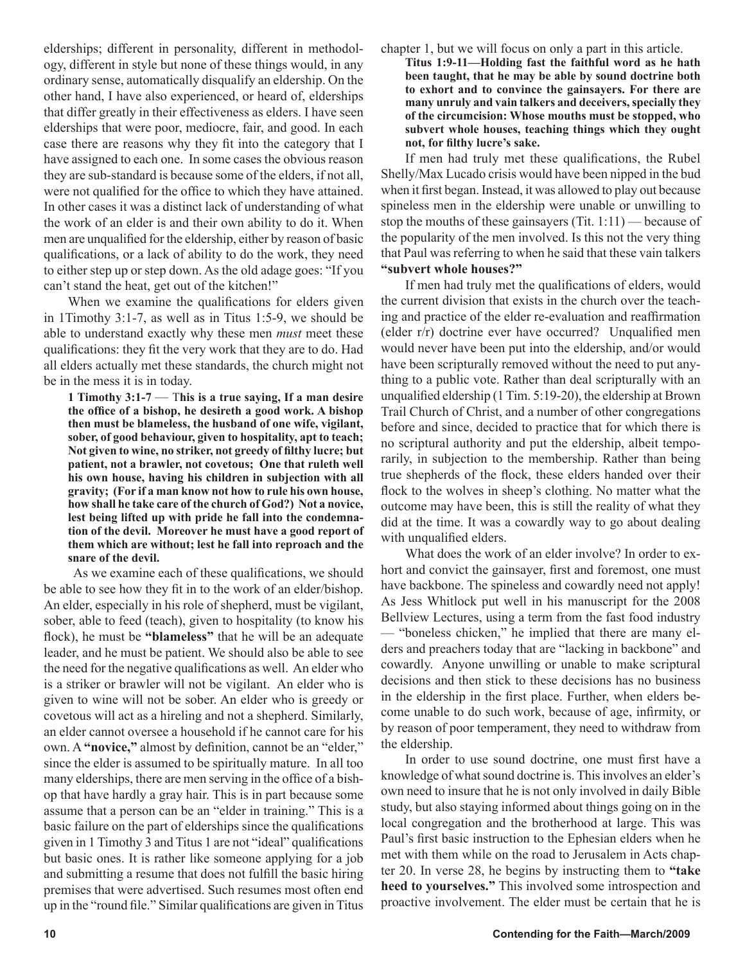elderships; different in personality, different in methodology, different in style but none of these things would, in any ordinary sense, automatically disqualify an eldership. On the other hand, I have also experienced, or heard of, elderships that differ greatly in their effectiveness as elders. I have seen elderships that were poor, mediocre, fair, and good. In each case there are reasons why they fit into the category that I have assigned to each one. In some cases the obvious reason they are sub-standard is because some of the elders, if not all, were not qualified for the office to which they have attained. In other cases it was a distinct lack of understanding of what the work of an elder is and their own ability to do it. When men are unqualified for the eldership, either by reason of basic qualifications, or a lack of ability to do the work, they need to either step up or step down. As the old adage goes: "If you can't stand the heat, get out of the kitchen!"

When we examine the qualifications for elders given in 1Timothy 3:1-7, as well as in Titus 1:5-9, we should be able to understand exactly why these men *must* meet these qualifications: they fit the very work that they are to do. Had all elders actually met these standards, the church might not be in the mess it is in today.

**1 Timothy 3:1-7** — T**his is a true saying, If a man desire the office of a bishop, he desireth a good work. A bishop then must be blameless, the husband of one wife, vigilant, sober, of good behaviour, given to hospitality, apt to teach; Not given to wine, no striker, not greedy of filthy lucre; but patient, not a brawler, not covetous; One that ruleth well his own house, having his children in subjection with all gravity; (For if a man know not how to rule his own house, how shall he take care of the church of God?) Not a novice, lest being lifted up with pride he fall into the condemnation of the devil. Moreover he must have a good report of them which are without; lest he fall into reproach and the snare of the devil.**

 As we examine each of these qualifications, we should be able to see how they fit in to the work of an elder/bishop. An elder, especially in his role of shepherd, must be vigilant, sober, able to feed (teach), given to hospitality (to know his flock), he must be **"blameless"** that he will be an adequate leader, and he must be patient. We should also be able to see the need for the negative qualifications as well. An elder who is a striker or brawler will not be vigilant. An elder who is given to wine will not be sober. An elder who is greedy or covetous will act as a hireling and not a shepherd. Similarly, an elder cannot oversee a household if he cannot care for his own. A **"novice,"** almost by definition, cannot be an "elder," since the elder is assumed to be spiritually mature. In all too many elderships, there are men serving in the office of a bishop that have hardly a gray hair. This is in part because some assume that a person can be an "elder in training." This is a basic failure on the part of elderships since the qualifications given in 1 Timothy 3 and Titus 1 are not "ideal" qualifications but basic ones. It is rather like someone applying for a job and submitting a resume that does not fulfill the basic hiring premises that were advertised. Such resumes most often end up in the "round file." Similar qualifications are given in Titus

chapter 1, but we will focus on only a part in this article.

**Titus 1:9-11—Holding fast the faithful word as he hath been taught, that he may be able by sound doctrine both to exhort and to convince the gainsayers. For there are many unruly and vain talkers and deceivers, specially they of the circumcision: Whose mouths must be stopped, who subvert whole houses, teaching things which they ought not, for filthy lucre's sake.**

If men had truly met these qualifications, the Rubel Shelly/Max Lucado crisis would have been nipped in the bud when it first began. Instead, it was allowed to play out because spineless men in the eldership were unable or unwilling to stop the mouths of these gainsayers (Tit. 1:11) — because of the popularity of the men involved. Is this not the very thing that Paul was referring to when he said that these vain talkers **"subvert whole houses?"**

If men had truly met the qualifications of elders, would the current division that exists in the church over the teaching and practice of the elder re-evaluation and reaffirmation (elder r/r) doctrine ever have occurred? Unqualified men would never have been put into the eldership, and/or would have been scripturally removed without the need to put anything to a public vote. Rather than deal scripturally with an unqualified eldership (1 Tim. 5:19-20), the eldership at Brown Trail Church of Christ, and a number of other congregations before and since, decided to practice that for which there is no scriptural authority and put the eldership, albeit temporarily, in subjection to the membership. Rather than being true shepherds of the flock, these elders handed over their flock to the wolves in sheep's clothing. No matter what the outcome may have been, this is still the reality of what they did at the time. It was a cowardly way to go about dealing with unqualified elders.

What does the work of an elder involve? In order to exhort and convict the gainsayer, first and foremost, one must have backbone. The spineless and cowardly need not apply! As Jess Whitlock put well in his manuscript for the 2008 Bellview Lectures, using a term from the fast food industry — "boneless chicken," he implied that there are many elders and preachers today that are "lacking in backbone" and cowardly. Anyone unwilling or unable to make scriptural decisions and then stick to these decisions has no business in the eldership in the first place. Further, when elders become unable to do such work, because of age, infirmity, or by reason of poor temperament, they need to withdraw from the eldership.

In order to use sound doctrine, one must first have a knowledge of what sound doctrine is. This involves an elder's own need to insure that he is not only involved in daily Bible study, but also staying informed about things going on in the local congregation and the brotherhood at large. This was Paul's first basic instruction to the Ephesian elders when he met with them while on the road to Jerusalem in Acts chapter 20. In verse 28, he begins by instructing them to **"take heed to yourselves."** This involved some introspection and proactive involvement. The elder must be certain that he is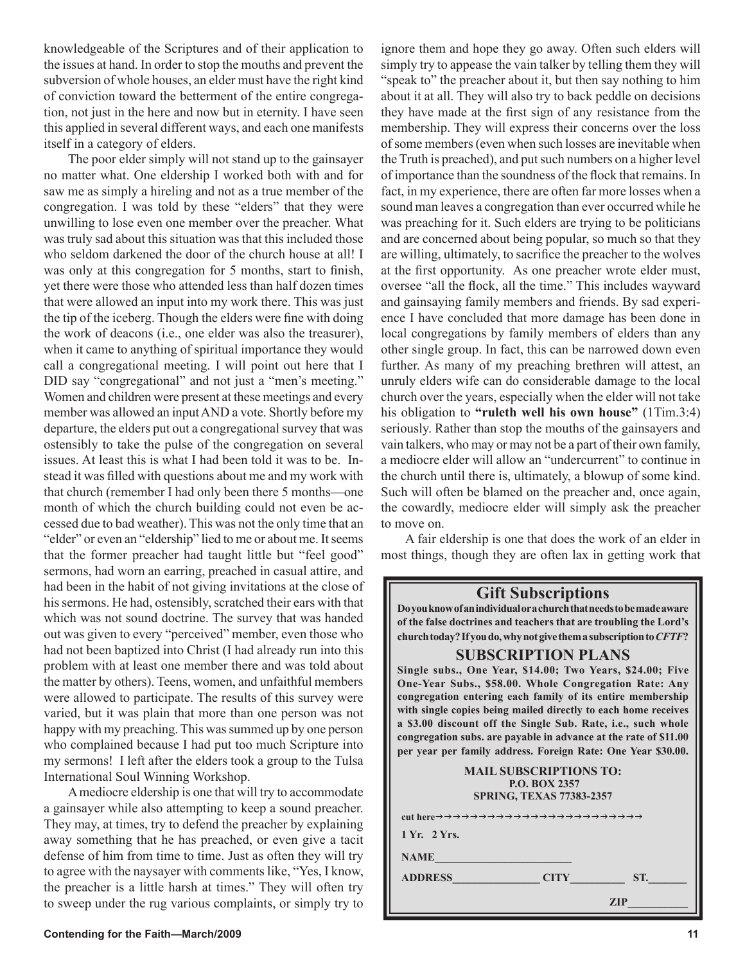knowledgeable of the Scriptures and of their application to the issues at hand. In order to stop the mouths and prevent the subversion of whole houses, an elder must have the right kind of conviction toward the betterment of the entire congregation, not just in the here and now but in eternity. I have seen this applied in several different ways, and each one manifests itself in a category of elders.

The poor elder simply will not stand up to the gainsayer no matter what. One eldership I worked both with and for saw me as simply a hireling and not as a true member of the congregation. I was told by these "elders" that they were unwilling to lose even one member over the preacher. What was truly sad about this situation was that this included those who seldom darkened the door of the church house at all! I was only at this congregation for 5 months, start to finish, yet there were those who attended less than half dozen times that were allowed an input into my work there. This was just the tip of the iceberg. Though the elders were fine with doing the work of deacons (i.e., one elder was also the treasurer), when it came to anything of spiritual importance they would call a congregational meeting. I will point out here that I DID say "congregational" and not just a "men's meeting." Women and children were present at these meetings and every member was allowed an input AND a vote. Shortly before my departure, the elders put out a congregational survey that was ostensibly to take the pulse of the congregation on several issues. At least this is what I had been told it was to be. Instead it was filled with questions about me and my work with that church (remember I had only been there 5 months—one month of which the church building could not even be accessed due to bad weather). This was not the only time that an "elder" or even an "eldership" lied to me or about me. It seems that the former preacher had taught little but "feel good" sermons, had worn an earring, preached in casual attire, and had been in the habit of not giving invitations at the close of his sermons. He had, ostensibly, scratched their ears with that which was not sound doctrine. The survey that was handed out was given to every "perceived" member, even those who had not been baptized into Christ (I had already run into this problem with at least one member there and was told about the matter by others). Teens, women, and unfaithful members were allowed to participate. The results of this survey were varied, but it was plain that more than one person was not happy with my preaching. This was summed up by one person who complained because I had put too much Scripture into my sermons! I left after the elders took a group to the Tulsa International Soul Winning Workshop.

A mediocre eldership is one that will try to accommodate a gainsayer while also attempting to keep a sound preacher. They may, at times, try to defend the preacher by explaining away something that he has preached, or even give a tacit defense of him from time to time. Just as often they will try to agree with the naysayer with comments like, "Yes, I know, the preacher is a little harsh at times." They will often try to sweep under the rug various complaints, or simply try to ignore them and hope they go away. Often such elders will simply try to appease the vain talker by telling them they will "speak to" the preacher about it, but then say nothing to him about it at all. They will also try to back peddle on decisions they have made at the first sign of any resistance from the membership. They will express their concerns over the loss of some members (even when such losses are inevitable when the Truth is preached), and put such numbers on a higher level of importance than the soundness of the flock that remains. In fact, in my experience, there are often far more losses when a sound man leaves a congregation than ever occurred while he was preaching for it. Such elders are trying to be politicians and are concerned about being popular, so much so that they are willing, ultimately, to sacrifice the preacher to the wolves at the first opportunity. As one preacher wrote elder must, oversee "all the flock, all the time." This includes wayward and gainsaying family members and friends. By sad experience I have concluded that more damage has been done in local congregations by family members of elders than any other single group. In fact, this can be narrowed down even further. As many of my preaching brethren will attest, an unruly elders wife can do considerable damage to the local church over the years, especially when the elder will not take his obligation to **"ruleth well his own house"** (1Tim.3:4) seriously. Rather than stop the mouths of the gainsayers and vain talkers, who may or may not be a part of their own family, a mediocre elder will allow an "undercurrent" to continue in the church until there is, ultimately, a blowup of some kind. Such will often be blamed on the preacher and, once again, the cowardly, mediocre elder will simply ask the preacher to move on.

A fair eldership is one that does the work of an elder in most things, though they are often lax in getting work that

# **Gift Subscriptions**

**Do you know of an individual or a church that needs to be made aware of the false doctrines and teachers that are troubling the Lord's church today? If you do, why not give them a subscription to** *CFTF***?**

# **SUBSCRIPTION PLANS**

**Single subs., One Year, \$14.00; Two Years, \$24.00; Five One-Year Subs., \$58.00. Whole Congregation Rate: Any congregation entering each family of its entire membership with single copies being mailed directly to each home receives a \$3.00 discount off the Single Sub. Rate, i.e., such whole congregation subs. are payable in advance at the rate of \$11.00 per year per family address. Foreign Rate: One Year \$30.00.**

| <b>MAIL SUBSCRIPTIONS TO:</b><br><b>P.O. BOX 2357</b><br><b>SPRING, TEXAS 77383-2357</b> |
|------------------------------------------------------------------------------------------|
|                                                                                          |
| 1 Yr. 2 Yrs.                                                                             |
| <b>NAME</b>                                                                              |
| <b>ADDRESS</b><br><b>CITY</b><br>ST.                                                     |
| <b>ZIP</b>                                                                               |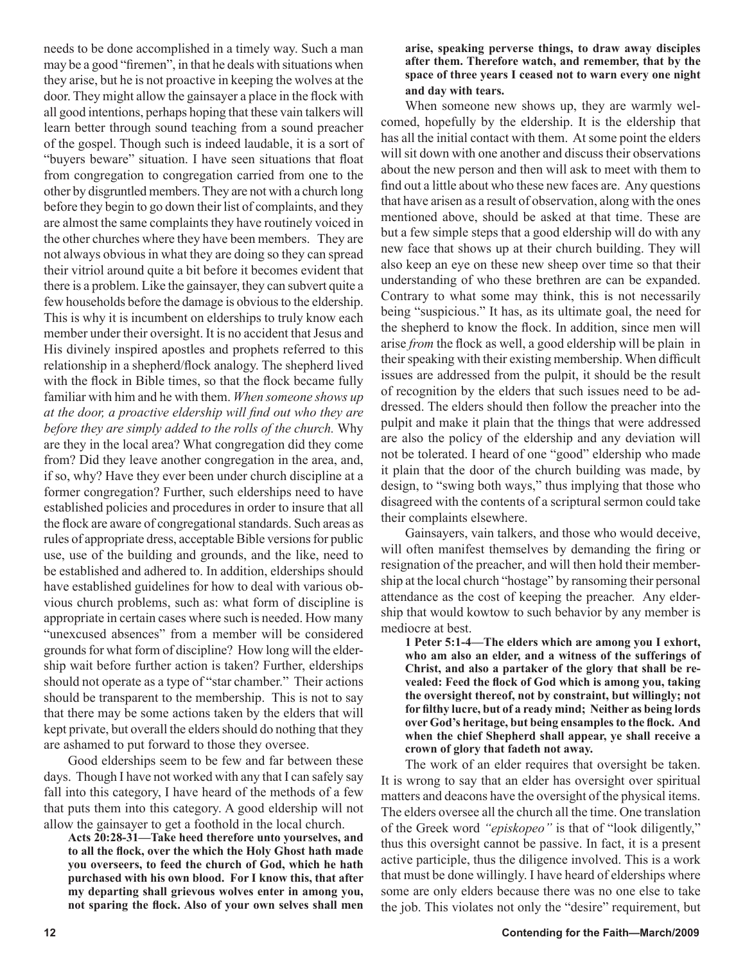needs to be done accomplished in a timely way. Such a man may be a good "firemen", in that he deals with situations when they arise, but he is not proactive in keeping the wolves at the door. They might allow the gainsayer a place in the flock with all good intentions, perhaps hoping that these vain talkers will learn better through sound teaching from a sound preacher of the gospel. Though such is indeed laudable, it is a sort of "buyers beware" situation. I have seen situations that float from congregation to congregation carried from one to the other by disgruntled members. They are not with a church long before they begin to go down their list of complaints, and they are almost the same complaints they have routinely voiced in the other churches where they have been members. They are not always obvious in what they are doing so they can spread their vitriol around quite a bit before it becomes evident that there is a problem. Like the gainsayer, they can subvert quite a few households before the damage is obvious to the eldership. This is why it is incumbent on elderships to truly know each member under their oversight. It is no accident that Jesus and His divinely inspired apostles and prophets referred to this relationship in a shepherd/flock analogy. The shepherd lived with the flock in Bible times, so that the flock became fully familiar with him and he with them. *When someone shows up at the door, a proactive eldership will find out who they are before they are simply added to the rolls of the church.* Why are they in the local area? What congregation did they come from? Did they leave another congregation in the area, and, if so, why? Have they ever been under church discipline at a former congregation? Further, such elderships need to have established policies and procedures in order to insure that all the flock are aware of congregational standards. Such areas as rules of appropriate dress, acceptable Bible versions for public use, use of the building and grounds, and the like, need to be established and adhered to. In addition, elderships should have established guidelines for how to deal with various obvious church problems, such as: what form of discipline is appropriate in certain cases where such is needed. How many "unexcused absences" from a member will be considered grounds for what form of discipline? How long will the eldership wait before further action is taken? Further, elderships should not operate as a type of "star chamber." Their actions should be transparent to the membership. This is not to say that there may be some actions taken by the elders that will kept private, but overall the elders should do nothing that they are ashamed to put forward to those they oversee.

Good elderships seem to be few and far between these days. Though I have not worked with any that I can safely say fall into this category, I have heard of the methods of a few that puts them into this category. A good eldership will not allow the gainsayer to get a foothold in the local church.

**Acts 20:28-31—Take heed therefore unto yourselves, and to all the flock, over the which the Holy Ghost hath made you overseers, to feed the church of God, which he hath purchased with his own blood. For I know this, that after my departing shall grievous wolves enter in among you, not sparing the flock. Also of your own selves shall men** 

### **arise, speaking perverse things, to draw away disciples after them. Therefore watch, and remember, that by the space of three years I ceased not to warn every one night and day with tears.**

When someone new shows up, they are warmly welcomed, hopefully by the eldership. It is the eldership that has all the initial contact with them. At some point the elders will sit down with one another and discuss their observations about the new person and then will ask to meet with them to find out a little about who these new faces are. Any questions that have arisen as a result of observation, along with the ones mentioned above, should be asked at that time. These are but a few simple steps that a good eldership will do with any new face that shows up at their church building. They will also keep an eye on these new sheep over time so that their understanding of who these brethren are can be expanded. Contrary to what some may think, this is not necessarily being "suspicious." It has, as its ultimate goal, the need for the shepherd to know the flock. In addition, since men will arise *from* the flock as well, a good eldership will be plain in their speaking with their existing membership. When difficult issues are addressed from the pulpit, it should be the result of recognition by the elders that such issues need to be addressed. The elders should then follow the preacher into the pulpit and make it plain that the things that were addressed are also the policy of the eldership and any deviation will not be tolerated. I heard of one "good" eldership who made it plain that the door of the church building was made, by design, to "swing both ways," thus implying that those who disagreed with the contents of a scriptural sermon could take their complaints elsewhere.

Gainsayers, vain talkers, and those who would deceive, will often manifest themselves by demanding the firing or resignation of the preacher, and will then hold their membership at the local church "hostage" by ransoming their personal attendance as the cost of keeping the preacher. Any eldership that would kowtow to such behavior by any member is mediocre at best.

**1 Peter 5:1-4—The elders which are among you I exhort, who am also an elder, and a witness of the sufferings of Christ, and also a partaker of the glory that shall be revealed: Feed the flock of God which is among you, taking the oversight thereof, not by constraint, but willingly; not for filthy lucre, but of a ready mind; Neither as being lords over God's heritage, but being ensamples to the flock. And when the chief Shepherd shall appear, ye shall receive a crown of glory that fadeth not away.**

The work of an elder requires that oversight be taken. It is wrong to say that an elder has oversight over spiritual matters and deacons have the oversight of the physical items. The elders oversee all the church all the time. One translation of the Greek word *"episkopeo"* is that of "look diligently," thus this oversight cannot be passive. In fact, it is a present active participle, thus the diligence involved. This is a work that must be done willingly. I have heard of elderships where some are only elders because there was no one else to take the job. This violates not only the "desire" requirement, but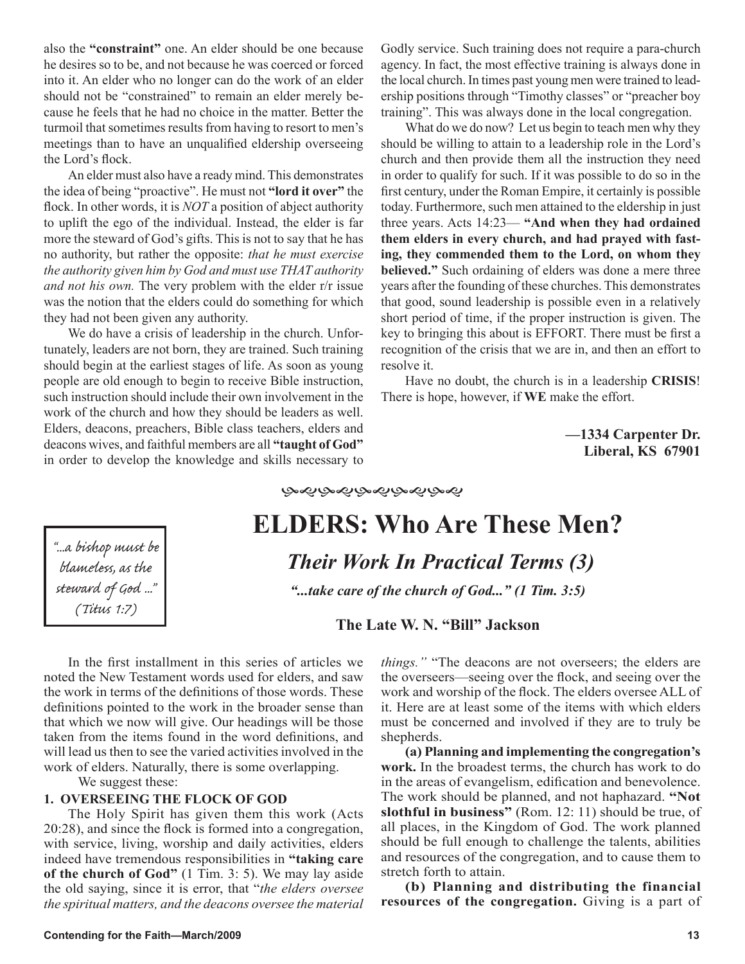also the **"constraint"** one. An elder should be one because he desires so to be, and not because he was coerced or forced into it. An elder who no longer can do the work of an elder should not be "constrained" to remain an elder merely because he feels that he had no choice in the matter. Better the turmoil that sometimes results from having to resort to men's meetings than to have an unqualified eldership overseeing the Lord's flock.

An elder must also have a ready mind. This demonstrates the idea of being "proactive". He must not **"lord it over"** the flock. In other words, it is *NOT* a position of abject authority to uplift the ego of the individual. Instead, the elder is far more the steward of God's gifts. This is not to say that he has no authority, but rather the opposite: *that he must exercise the authority given him by God and must use THAT authority and not his own.* The very problem with the elder r/r issue was the notion that the elders could do something for which they had not been given any authority.

We do have a crisis of leadership in the church. Unfortunately, leaders are not born, they are trained. Such training should begin at the earliest stages of life. As soon as young people are old enough to begin to receive Bible instruction, such instruction should include their own involvement in the work of the church and how they should be leaders as well. Elders, deacons, preachers, Bible class teachers, elders and deacons wives, and faithful members are all **"taught of God"** in order to develop the knowledge and skills necessary to Godly service. Such training does not require a para-church agency. In fact, the most effective training is always done in the local church. In times past young men were trained to leadership positions through "Timothy classes" or "preacher boy training". This was always done in the local congregation.

What do we do now? Let us begin to teach men why they should be willing to attain to a leadership role in the Lord's church and then provide them all the instruction they need in order to qualify for such. If it was possible to do so in the first century, under the Roman Empire, it certainly is possible today. Furthermore, such men attained to the eldership in just three years. Acts 14:23— **"And when they had ordained them elders in every church, and had prayed with fasting, they commended them to the Lord, on whom they believed."** Such ordaining of elders was done a mere three years after the founding of these churches. This demonstrates that good, sound leadership is possible even in a relatively short period of time, if the proper instruction is given. The key to bringing this about is EFFORT. There must be first a recognition of the crisis that we are in, and then an effort to resolve it.

Have no doubt, the church is in a leadership **CRISIS**! There is hope, however, if **WE** make the effort.

> **—1334 Carpenter Dr. Liberal, KS 67901**

"...a bishop must be blameless, as the steward of God ..." (Titus 1:7)

ড়ড়ড়ড়ড়ড়ড়ড়ড়

# **ELDERS: Who Are These Men?**

*Their Work In Practical Terms (3)*

*"...take care of the church of God..." (1 Tim. 3:5)*

**The Late W. N. "Bill" Jackson** 

In the first installment in this series of articles we noted the New Testament words used for elders, and saw the work in terms of the definitions of those words. These definitions pointed to the work in the broader sense than that which we now will give. Our headings will be those taken from the items found in the word definitions, and will lead us then to see the varied activities involved in the work of elders. Naturally, there is some overlapping.

We suggest these:

# **1. OVERSEEING THE FLOCK OF GOD**

The Holy Spirit has given them this work (Acts 20:28), and since the flock is formed into a congregation, with service, living, worship and daily activities, elders indeed have tremendous responsibilities in **"taking care of the church of God"** (1 Tim. 3: 5). We may lay aside the old saying, since it is error, that "*the elders oversee the spiritual matters, and the deacons oversee the material*  *things."* "The deacons are not overseers; the elders are the overseers—seeing over the flock, and seeing over the work and worship of the flock. The elders oversee ALL of it. Here are at least some of the items with which elders must be concerned and involved if they are to truly be shepherds.

**(a) Planning and implementing the congregation's work.** In the broadest terms, the church has work to do in the areas of evangelism, edification and benevolence. The work should be planned, and not haphazard. **"Not slothful in business"** (Rom. 12: 11) should be true, of all places, in the Kingdom of God. The work planned should be full enough to challenge the talents, abilities and resources of the congregation, and to cause them to stretch forth to attain.

**(b) Planning and distributing the financial resources of the congregation.** Giving is a part of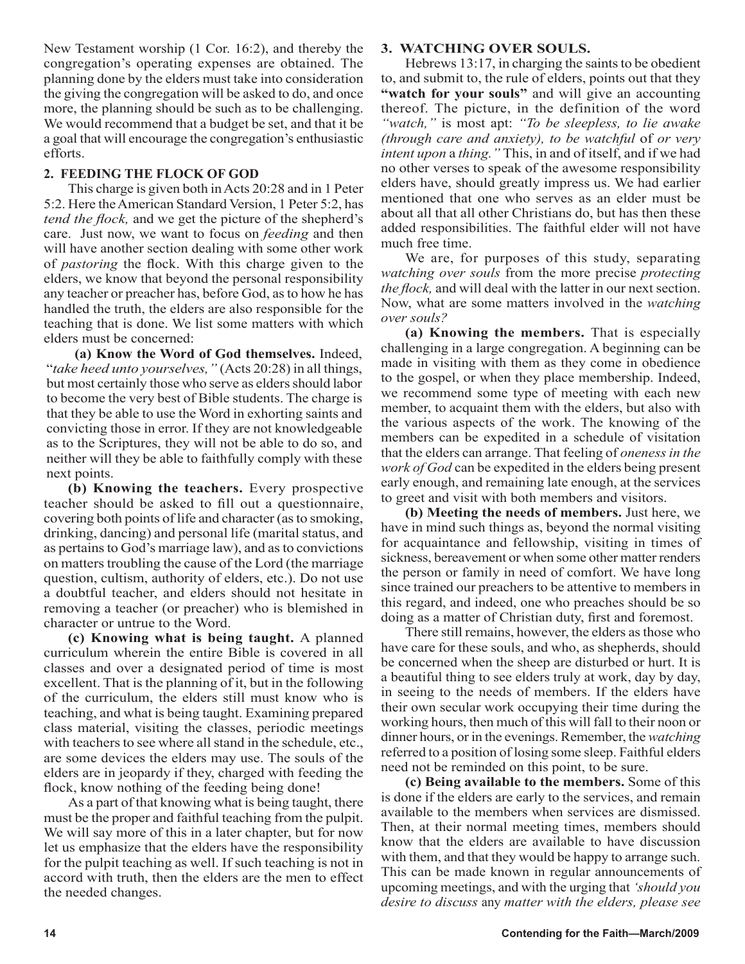New Testament worship (1 Cor. 16:2), and thereby the congregation's operating expenses are obtained. The planning done by the elders must take into consideration the giving the congregation will be asked to do, and once more, the planning should be such as to be challenging. We would recommend that a budget be set, and that it be a goal that will encourage the congregation's enthusiastic efforts.

# **2. FEEDING THE FLOCK OF GOD**

This charge is given both in Acts 20:28 and in 1 Peter 5:2. Here the American Standard Version, 1 Peter 5:2, has *tend the flock,* and we get the picture of the shepherd's care. Just now, we want to focus on *feeding* and then will have another section dealing with some other work of *pastoring* the flock. With this charge given to the elders, we know that beyond the personal responsibility any teacher or preacher has, before God, as to how he has handled the truth, the elders are also responsible for the teaching that is done. We list some matters with which elders must be concerned:

**(a) Know the Word of God themselves.** Indeed, "*take heed unto yourselves,"* (Acts 20:28) in all things, but most certainly those who serve as elders should labor to become the very best of Bible students. The charge is that they be able to use the Word in exhorting saints and convicting those in error. If they are not knowledgeable as to the Scriptures, they will not be able to do so, and neither will they be able to faithfully comply with these next points.

**(b) Knowing the teachers.** Every prospective teacher should be asked to fill out a questionnaire, covering both points of life and character (as to smoking, drinking, dancing) and personal life (marital status, and as pertains to God's marriage law), and as to convictions on matters troubling the cause of the Lord (the marriage question, cultism, authority of elders, etc.). Do not use a doubtful teacher, and elders should not hesitate in removing a teacher (or preacher) who is blemished in character or untrue to the Word.

**(c) Knowing what is being taught.** A planned curriculum wherein the entire Bible is covered in all classes and over a designated period of time is most excellent. That is the planning of it, but in the following of the curriculum, the elders still must know who is teaching, and what is being taught. Examining prepared class material, visiting the classes, periodic meetings with teachers to see where all stand in the schedule, etc., are some devices the elders may use. The souls of the elders are in jeopardy if they, charged with feeding the flock, know nothing of the feeding being done!

As a part of that knowing what is being taught, there must be the proper and faithful teaching from the pulpit. We will say more of this in a later chapter, but for now let us emphasize that the elders have the responsibility for the pulpit teaching as well. If such teaching is not in accord with truth, then the elders are the men to effect the needed changes.

## **3. WATCHING OVER SOULS.**

Hebrews 13:17, in charging the saints to be obedient to, and submit to, the rule of elders, points out that they **"watch for your souls"** and will give an accounting thereof. The picture, in the definition of the word *"watch,"* is most apt: *"To be sleepless, to lie awake (through care and anxiety), to be watchful* of *or very intent upon* a *thing."* This, in and of itself, and if we had no other verses to speak of the awesome responsibility elders have, should greatly impress us. We had earlier mentioned that one who serves as an elder must be about all that all other Christians do, but has then these added responsibilities. The faithful elder will not have much free time.

We are, for purposes of this study, separating *watching over souls* from the more precise *protecting the flock,* and will deal with the latter in our next section. Now, what are some matters involved in the *watching over souls?* 

**(a) Knowing the members.** That is especially challenging in a large congregation. A beginning can be made in visiting with them as they come in obedience to the gospel, or when they place membership. Indeed, we recommend some type of meeting with each new member, to acquaint them with the elders, but also with the various aspects of the work. The knowing of the members can be expedited in a schedule of visitation that the elders can arrange. That feeling of *oneness in the work of God* can be expedited in the elders being present early enough, and remaining late enough, at the services to greet and visit with both members and visitors.

**(b) Meeting the needs of members.** Just here, we have in mind such things as, beyond the normal visiting for acquaintance and fellowship, visiting in times of sickness, bereavement or when some other matter renders the person or family in need of comfort. We have long since trained our preachers to be attentive to members in this regard, and indeed, one who preaches should be so doing as a matter of Christian duty, first and foremost.

There still remains, however, the elders as those who have care for these souls, and who, as shepherds, should be concerned when the sheep are disturbed or hurt. It is a beautiful thing to see elders truly at work, day by day, in seeing to the needs of members. If the elders have their own secular work occupying their time during the working hours, then much of this will fall to their noon or dinner hours, or in the evenings. Remember, the *watching*  referred to a position of losing some sleep. Faithful elders need not be reminded on this point, to be sure.

**(c) Being available to the members.** Some of this is done if the elders are early to the services, and remain available to the members when services are dismissed. Then, at their normal meeting times, members should know that the elders are available to have discussion with them, and that they would be happy to arrange such. This can be made known in regular announcements of upcoming meetings, and with the urging that *'should you desire to discuss* any *matter with the elders, please see*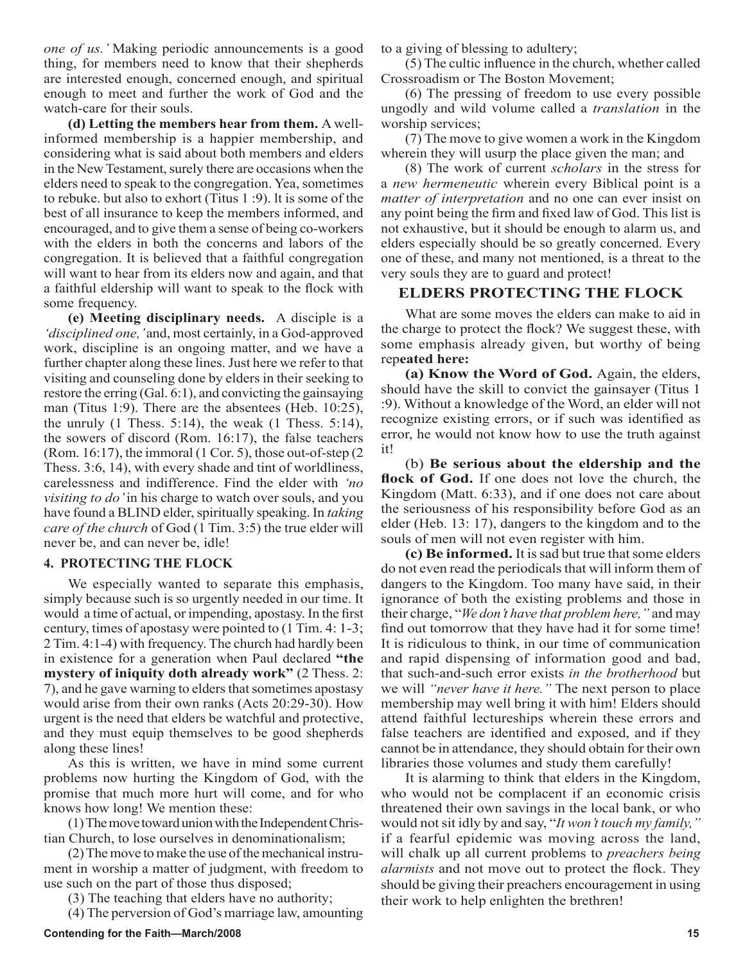*one of us.'* Making periodic announcements is a good thing, for members need to know that their shepherds are interested enough, concerned enough, and spiritual enough to meet and further the work of God and the watch-care for their souls.

**(d) Letting the members hear from them.** A wellinformed membership is a happier membership, and considering what is said about both members and elders in the New Testament, surely there are occasions when the elders need to speak to the congregation. Yea, sometimes to rebuke. but also to exhort (Titus 1 :9). lt is some of the best of all insurance to keep the members informed, and encouraged, and to give them a sense of being co-workers with the elders in both the concerns and labors of the congregation. It is believed that a faithful congregation will want to hear from its elders now and again, and that a faithful eldership will want to speak to the flock with some frequency.

**(e) Meeting disciplinary needs.** A disciple is a *'disciplined one,'* and, most certainly, in a God-approved work, discipline is an ongoing matter, and we have a further chapter along these lines. Just here we refer to that visiting and counseling done by elders in their seeking to restore the erring (Gal. 6:1), and convicting the gainsaying man (Titus 1:9). There are the absentees (Heb. 10:25), the unruly  $(1$  Thess. 5:14), the weak  $(1$  Thess. 5:14), the sowers of discord (Rom. 16:17), the false teachers (Rom. 16:17), the immoral (1 Cor. 5), those out-of-step (2 Thess. 3:6, 14), with every shade and tint of worldliness, carelessness and indifference. Find the elder with *'no visiting to do'* in his charge to watch over souls, and you have found a BLIND elder, spiritually speaking. In *taking care of the church* of God (1 Tim. 3:5) the true elder will never be, and can never be, idle!

### **4. PROTECTING THE FLOCK**

We especially wanted to separate this emphasis, simply because such is so urgently needed in our time. It would a time of actual, or impending, apostasy. In the first century, times of apostasy were pointed to (1 Tim. 4: 1-3; 2 Tim. 4:1-4) with frequency. The church had hardly been in existence for a generation when Paul declared **"the mystery of iniquity doth already work"** (2 Thess. 2: 7), and he gave warning to elders that sometimes apostasy would arise from their own ranks (Acts 20:29-30). How urgent is the need that elders be watchful and protective, and they must equip themselves to be good shepherds along these lines!

As this is written, we have in mind some current problems now hurting the Kingdom of God, with the promise that much more hurt will come, and for who knows how long! We mention these:

(1) The move toward union with the Independent Christian Church, to lose ourselves in denominationalism;

(2) The move to make the use of the mechanical instrument in worship a matter of judgment, with freedom to use such on the part of those thus disposed;

(3) The teaching that elders have no authority;

(4) The perversion of God's marriage law, amounting

to a giving of blessing to adultery;

(5) The cultic influence in the church, whether called Crossroadism or The Boston Movement;

(6) The pressing of freedom to use every possible ungodly and wild volume called a *translation* in the worship services;

(7) The move to give women a work in the Kingdom wherein they will usurp the place given the man; and

(8) The work of current *scholars* in the stress for a *new hermeneutic* wherein every Biblical point is a *matter of interpretation* and no one can ever insist on any point being the firm and fixed law of God. This list is not exhaustive, but it should be enough to alarm us, and elders especially should be so greatly concerned. Every one of these, and many not mentioned, is a threat to the very souls they are to guard and protect!

# **ELDERS PROTECTING THE FLOCK**

What are some moves the elders can make to aid in the charge to protect the flock? We suggest these, with some emphasis already given, but worthy of being rep**eated here:** 

**(a) Know the Word of God.** Again, the elders, should have the skill to convict the gainsayer (Titus 1 :9). Without a knowledge of the Word, an elder will not recognize existing errors, or if such was identified as error, he would not know how to use the truth against it!

(b) **Be serious about the eldership and the flock of God.** If one does not love the church, the Kingdom (Matt. 6:33), and if one does not care about the seriousness of his responsibility before God as an elder (Heb. 13: 17), dangers to the kingdom and to the souls of men will not even register with him.

**(c) Be informed.** It is sad but true that some elders do not even read the periodicals that will inform them of dangers to the Kingdom. Too many have said, in their ignorance of both the existing problems and those in their charge, "*We don't have that problem here,"* and may find out tomorrow that they have had it for some time! It is ridiculous to think, in our time of communication and rapid dispensing of information good and bad, that such-and-such error exists *in the brotherhood* but we will *"never have it here."* The next person to place membership may well bring it with him! Elders should attend faithful lectureships wherein these errors and false teachers are identified and exposed, and if they cannot be in attendance, they should obtain for their own libraries those volumes and study them carefully!

It is alarming to think that elders in the Kingdom, who would not be complacent if an economic crisis threatened their own savings in the local bank, or who would not sit idly by and say, "*It won't touch my family,"*  if a fearful epidemic was moving across the land, will chalk up all current problems to *preachers being alarmists* and not move out to protect the flock. They should be giving their preachers encouragement in using their work to help enlighten the brethren!